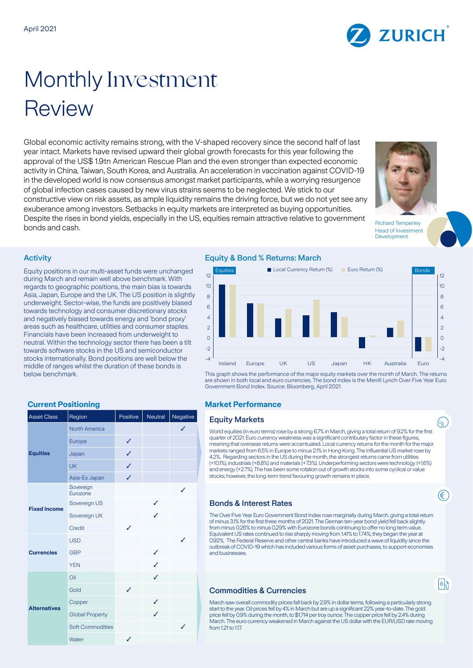

# Monthly Investment Review

Global economic activity remains strong, with the V-shaped recovery since the second half of last year intact. Markets have revised upward their global growth forecasts for this year following the approval of the US\$ 1.9tn American Rescue Plan and the even stronger than expected economic activity in China, Taiwan, South Korea, and Australia. An acceleration in vaccination against COVID-19 in the developed world is now consensus amongst market participants, while a worrying resurgence of global infection cases caused by new virus strains seems to be neglected. We stick to our constructive view on risk assets, as ample liquidity remains the driving force, but we do not yet see any exuberance among investors. Setbacks in equity markets are interpreted as buying opportunities. Despite the rises in bond yields, especially in the US, equities remain attractive relative to government bonds and cash. Richard Temperley



Head of Investment Development

a,

€

 $|\circ|$ 

### **Activity**

Equity positions in our multi-asset funds were unchanged during March and remain well above benchmark. With regards to geographic positions, the main bias is towards Asia, Japan, Europe and the UK. The US position is slightly underweight. Sector-wise, the funds are positively biased towards technology and consumer discretionary stocks and negatively biased towards energy and 'bond proxy' areas such as healthcare, utilities and consumer staples. Financials have been increased from underweight to neutral. Within the technology sector there has been a tilt towards software stocks in the US and semiconductor stocks internationally. Bond positions are well below the middle of ranges whilst the duration of these bonds is below benchmark.

| <b>Asset Class</b>  | Region                  | Positive     | Neutral | Negative     |
|---------------------|-------------------------|--------------|---------|--------------|
| <b>Equities</b>     | <b>North America</b>    |              |         | ✓            |
|                     | Europe                  | ✓            |         |              |
|                     | Japan                   | ✓            |         |              |
|                     | <b>UK</b>               | ✓            |         |              |
|                     | Asia-Ex Japan           | ✓            |         |              |
| <b>Fixed Income</b> | Sovereign<br>Eurozone   |              |         | ✓            |
|                     | Sovereign US            |              | ✓       |              |
|                     | Sovereign UK            |              | ✓       |              |
|                     | Credit                  | ✓            |         |              |
| <b>Currencies</b>   | <b>USD</b>              |              |         | $\checkmark$ |
|                     | <b>GBP</b>              |              | ✓       |              |
|                     | <b>YEN</b>              |              | ✓       |              |
| <b>Alternatives</b> | Oil                     |              | ✓       |              |
|                     | Gold                    | $\checkmark$ |         |              |
|                     | Copper                  |              | ✓       |              |
|                     | <b>Global Property</b>  |              | ✓       |              |
|                     | <b>Soft Commodities</b> |              |         | ✓            |
|                     | Water                   | ✓            |         |              |

# Equity & Bond % Returns: March



This graph shows the performance of the major equity markets over the month of March. The returns are shown in both local and euro currencies. The bond index is the Merrill Lynch Over Five Year Euro Government Bond Index. Source: Bloomberg, April 2021.

#### **Current Positioning Market Performance**

#### **Equity Markets**

World equities (in euro terms) rose by a strong 6.7% in March, giving a total return of 9.2% for the first quarter of 2021. Euro currency weakness was a significant contributary factor in these figures, meaning that overseas returns were accentuated. Local currency returns for the month for the major markets ranged from 6.5% in Europe to minus 2.1% in Hong Kong. The influential US market rose by 4.2%. Regarding sectors in the US during the month, the strongest returns came from utilities (+10.1%), industrials (+8.8%) and materials (+7.3%). Underperforming sectors were technology (+1.6%) and energy (+2.7%). The has been some rotation out of growth stocks into some cyclical or value stocks; however, the long-term trend favouring growth remains in place.

# Bonds & Interest Rates

The Over Five Year Euro Government Bond Index rose marginally during March, giving a total return of minus 3.1% for the first three months of 2021. The German ten-year bond yield fell back slightly from minus 0.26% to minus 0.29% with Eurozone bonds continuing to offer no long term value. Equivalent US rates continued to rise sharply moving from 1.41% to 1.74%; they began the year at 0.92%. The Federal Reserve and other central banks have introduced a wave of liquidity since the outbreak of COVID-19 which has included various forms of asset purchases, to support economies and businesses.

# Commodities & Currencies

March saw overall commodity prices fall back by 2.9% in dollar terms, following a particularly strong start to the year. Oil prices fell by 4% in March but are up a significant 22% year-to-date. The gold price fell by 0.9% during the month, to \$1,714 per troy ounce. The copper price fell by 2.4% during March. The euro currency weakened in March against the US dollar with the EUR/USD rate moving from 1.21 to 1.17.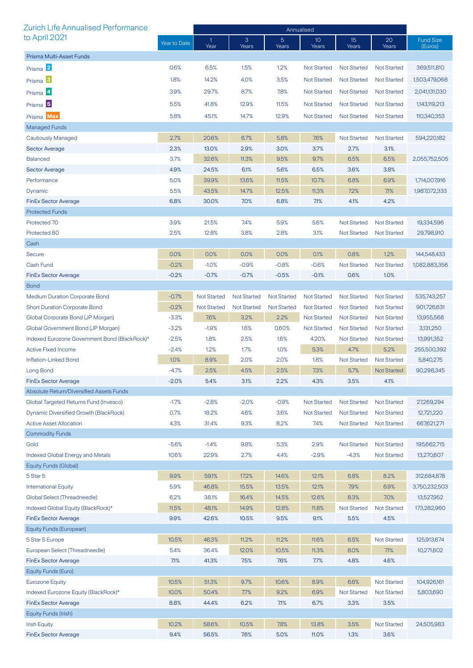| <b>Zurich Life Annualised Performance</b>     | Annualised   |                      |                    |                         |                          |                    |                    |                             |
|-----------------------------------------------|--------------|----------------------|--------------------|-------------------------|--------------------------|--------------------|--------------------|-----------------------------|
| to April 2021                                 | Year to Date | $\mathbf{1}$<br>Year | 3<br>Years         | $\overline{5}$<br>Years | 10 <sup>°</sup><br>Years | 15<br>Years        | 20<br>Years        | <b>Fund Size</b><br>(Euros) |
| Prisma Multi-Asset Funds                      |              |                      |                    |                         |                          |                    |                    |                             |
| Prisma 2                                      | 0.6%         | 6.5%                 | 1.5%               | 1.2%                    | <b>Not Started</b>       | <b>Not Started</b> | <b>Not Started</b> | 369,511,810                 |
| Prisma <sup>3</sup>                           | 1.8%         | 14.2%                | 4.0%               | 3.5%                    | <b>Not Started</b>       | <b>Not Started</b> | <b>Not Started</b> | 1,503,479,068               |
| Prisma <sup>4</sup>                           | 3.9%         | 29.7%                | 8.7%               | 7.8%                    | <b>Not Started</b>       | <b>Not Started</b> | <b>Not Started</b> | 2,041,131,030               |
|                                               |              |                      |                    |                         |                          |                    |                    |                             |
| Prisma <sup>5</sup>                           | 5.5%         | 41.8%                | 12.9%              | 11.5%                   | <b>Not Started</b>       | <b>Not Started</b> | <b>Not Started</b> | 1,143,119,213               |
| Prisma Max                                    | 5.8%         | 45.1%                | 14.7%              | 12.9%                   | Not Started              | <b>Not Started</b> | <b>Not Started</b> | 110,340,353                 |
| Managed Funds                                 |              |                      |                    |                         |                          |                    |                    |                             |
| <b>Cautiously Managed</b>                     | 2.7%         | 20.6%                | 6.7%               | 5.8%                    | 7.6%                     | <b>Not Started</b> | <b>Not Started</b> | 594,220,182                 |
| <b>Sector Average</b>                         | 2.3%         | 13.0%                | 2.9%               | 3.0%                    | 3.7%                     | 2.7%               | 3.1%               |                             |
| <b>Balanced</b>                               | 3.7%         | 32.6%                | 11.3%              | 9.5%                    | 9.7%                     | 6.5%               | 6.5%               | 2,055,752,505               |
| <b>Sector Average</b>                         | 4.9%         | 24.5%                | 6.1%               | 5.6%                    | 6.5%                     | 3.6%               | 3.8%               |                             |
| Performance                                   | 5.0%         | 39.9%                | 13.6%              | 11.5%                   | 10.7%                    | 6.8%               | 6.9%               | 1,714,007,916               |
| Dynamic                                       | 5.5%         | 43.5%                | 14.7%              | 12.5%                   | 11.3%                    | 7.2%               | 7.1%               | 1,987,072,333               |
| <b>FinEx Sector Average</b>                   | 6.8%         | 30.0%                | 7.0%               | 6.8%                    | 7.1%                     | 4.1%               | 4.2%               |                             |
| <b>Protected Funds</b>                        |              |                      |                    |                         |                          |                    |                    |                             |
| Protected 70                                  | 3.9%         | 21.5%                | 7.4%               | 5.9%                    | 5.6%                     | <b>Not Started</b> | <b>Not Started</b> | 19,334,596                  |
| Protected 80                                  | 2.5%         | 12.8%                | 3.8%               | 2.8%                    | 3.1%                     | <b>Not Started</b> | <b>Not Started</b> | 29,798,910                  |
| Cash                                          |              |                      |                    |                         |                          |                    |                    |                             |
| <b>Secure</b>                                 | 0.0%         | 0.0%                 | 0.0%               | 0.0%                    | 0.1%                     | 0.8%               | 1.2%               | 144,548,433                 |
| Cash Fund                                     | $-0.2%$      | $-1.0%$              | $-0.9%$            | $-0.8%$                 | $-0.6%$                  | <b>Not Started</b> | <b>Not Started</b> | 1,082,883,356               |
| <b>FinEx Sector Average</b>                   | $-0.2%$      | $-0.7%$              | $-0.7%$            | $-0.5%$                 | $-0.1%$                  | 0.6%               | 1.0%               |                             |
| <b>Bond</b>                                   |              |                      |                    |                         |                          |                    |                    |                             |
| <b>Medium Duration Corporate Bond</b>         | $-0.7%$      | <b>Not Started</b>   | <b>Not Started</b> | <b>Not Started</b>      | <b>Not Started</b>       | <b>Not Started</b> | <b>Not Started</b> | 535,743,257                 |
| <b>Short Duration Corporate Bond</b>          | $-0.2%$      | <b>Not Started</b>   | <b>Not Started</b> | <b>Not Started</b>      | <b>Not Started</b>       | <b>Not Started</b> | <b>Not Started</b> | 901,726,631                 |
| Global Corporate Bond (JP Morgan)             | $-3.3%$      | 7.6%                 | 3.2%               | 2.2%                    | <b>Not Started</b>       | <b>Not Started</b> | <b>Not Started</b> | 13,955,568                  |
| Global Government Bond (JP Morgan)            | $-3.2%$      | $-1.9%$              | 1.6%               | 0.60%                   | <b>Not Started</b>       | <b>Not Started</b> | <b>Not Started</b> | 3,131,250                   |
| Indexed Eurozone Government Bond (BlackRock)* | $-2.5%$      | 1.8%                 | 2.5%               | 1.6%                    | 4.20%                    | <b>Not Started</b> | <b>Not Started</b> | 13,991,352                  |
| <b>Active Fixed Income</b>                    | $-2.4%$      | 1.2%                 | 1.7%               | 1.0%                    | 5.3%                     | 4.7%               | 5.2%               | 255,500,392                 |
| Inflation-Linked Bond                         | 1.0%         | 8.9%                 | 2.0%               | 2.0%                    | 1.8%                     | <b>Not Started</b> | <b>Not Started</b> | 5,840,275                   |
| Long Bond                                     | $-4.7%$      | 2.5%                 | 4.5%               | 2.5%                    | 7.3%                     | 5.7%               | <b>Not Started</b> | 90,298,345                  |
| FinEx Sector Average                          | $-2.0%$      | 5.4%                 | 3.1%               | 2.2%                    | 4.3%                     | $3.5\%$            | 4.1%               |                             |
| Absolute Return/Diversified Assets Funds      |              |                      |                    |                         |                          |                    |                    |                             |
| Global Targeted Returns Fund (Invesco)        | $-1.7%$      | $-2.8%$              | $-2.0%$            | $-0.9%$                 | <b>Not Started</b>       | <b>Not Started</b> | <b>Not Started</b> | 27,269,294                  |
| Dynamic Diversified Growth (BlackRock)        | 0.7%         | 18.2%                | 4.6%               | 3.6%                    | <b>Not Started</b>       | <b>Not Started</b> | <b>Not Started</b> | 12,721,220                  |
| <b>Active Asset Allocation</b>                | 4.3%         | 31.4%                | 9.3%               | 8.2%                    | 7.4%                     | <b>Not Started</b> | <b>Not Started</b> | 667,621,271                 |
| <b>Commodity Funds</b>                        |              |                      |                    |                         |                          |                    |                    |                             |
| Gold                                          | $-5.6%$      | $-1.4%$              | 9.8%               | 5.3%                    | 2.9%                     | <b>Not Started</b> | <b>Not Started</b> | 195,662,715                 |
| Indexed Global Energy and Metals              | 10.6%        | 22.9%                | 2.7%               | 4.4%                    | $-2.9%$                  | $-4.3%$            | <b>Not Started</b> | 13,270,607                  |
| Equity Funds (Global)                         |              |                      |                    |                         |                          |                    |                    |                             |
| 5 Star 5                                      | 9.9%         | 59.1%                | 17.2%              | 14.6%                   | 12.1%                    | 6.8%               | 8.2%               | 312,684,878                 |
| <b>International Equity</b>                   | 5.9%         | 46.8%                | 15.5%              | 13.5%                   | 12.1%                    | 7.9%               | 6.9%               | 3,750,232,503               |
| Global Select (Threadneedle)                  | 6.2%         | 38.1%                | 16.4%              | 14.5%                   | 12.6%                    | 8.3%               | 7.0%               | 13,527,952                  |
| Indexed Global Equity (BlackRock)*            | 11.5%        | 48.1%                | 14.9%              | 12.8%                   | 11.8%                    | <b>Not Started</b> | <b>Not Started</b> | 173,282,960                 |
| <b>FinEx Sector Average</b>                   | 9.9%         | 42.6%                | 10.5%              | 9.5%                    | 9.1%                     | 5.5%               | 4.5%               |                             |
| Equity Funds (European)                       |              |                      |                    |                         |                          |                    |                    |                             |
| 5 Star 5 Europe                               | 10.5%        | 46.3%                | 11.2%              | 11.2%                   | 11.6%                    | 6.5%               | <b>Not Started</b> | 125,913,674                 |
| European Select (Threadneedle)                | 5.4%         | 36.4%                | 12.0%              | 10.5%                   | 11.3%                    | 8.0%               | 7.1%               | 10,271,602                  |
| <b>FinEx Sector Average</b>                   | 7.1%         | 41.3%                | 7.5%               | 7.6%                    | 7.7%                     | 4.8%               | 4.6%               |                             |
| Equity Funds (Euro)                           |              |                      |                    |                         |                          |                    |                    |                             |
| <b>Eurozone Equity</b>                        | 10.5%        | 51.3%                | 9.7%               | 10.6%                   | 8.9%                     | 6.6%               | <b>Not Started</b> | 104,926,161                 |
| Indexed Eurozone Equity (BlackRock)*          | 10.0%        | 50.4%                | 7.7%               | 9.2%                    | 6.9%                     | <b>Not Started</b> | Not Started        | 5,803,690                   |
| <b>FinEx Sector Average</b>                   | 8.8%         | 44.4%                | 6.2%               | 7.1%                    | 6.7%                     | 3.3%               | 3.5%               |                             |
| Equity Funds (Irish)                          |              |                      |                    |                         |                          |                    |                    |                             |
| <b>Irish Equity</b>                           | 10.2%        | 58.6%                | 10.5%              | 7.8%                    | 13.8%                    | 3.5%               | Not Started        | 24,505,983                  |
| <b>FinEx Sector Average</b>                   | 9.4%         | 56.5%                | 7.6%               | 5.0%                    | 11.0%                    | 1.3%               | 3.6%               |                             |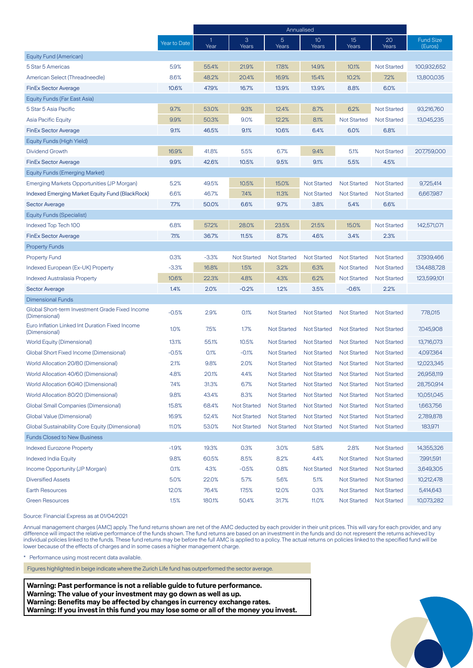|                                                                  |              | Annualised           |                    |                    |                    |                    |                    |                             |
|------------------------------------------------------------------|--------------|----------------------|--------------------|--------------------|--------------------|--------------------|--------------------|-----------------------------|
|                                                                  | Year to Date | $\mathbf{1}$<br>Year | 3<br>Years         | 5<br>Years         | 10<br>Years        | 15<br>Years        | 20<br>Years        | <b>Fund Size</b><br>(Euros) |
| Equity Fund (American)                                           |              |                      |                    |                    |                    |                    |                    |                             |
| 5 Star 5 Americas                                                | 5.9%         | 55.4%                | 21.9%              | 17.8%              | 14.9%              | 10.1%              | <b>Not Started</b> | 100,932,652                 |
| American Select (Threadneedle)                                   | 8.6%         | 48.2%                | 20.4%              | 16.9%              | 15.4%              | 10.2%              | 7.2%               | 13,800,035                  |
| <b>FinEx Sector Average</b>                                      | 10.6%        | 47.9%                | 16.7%              | 13.9%              | 13.9%              | 8.8%               | 6.0%               |                             |
| Equity Funds (Far East Asia)                                     |              |                      |                    |                    |                    |                    |                    |                             |
| 5 Star 5 Asia Pacific                                            | 9.7%         | 53.0%                | 9.3%               | 12.4%              | 8.7%               | 6.2%               | <b>Not Started</b> | 93,216,760                  |
| <b>Asia Pacific Equity</b>                                       | 9.9%         | 50.3%                | 9.0%               | 12.2%              | 8.1%               | <b>Not Started</b> | <b>Not Started</b> | 13,045,235                  |
| <b>FinEx Sector Average</b>                                      | 9.1%         | 46.5%                | 9.1%               | 10.6%              | 6.4%               | 6.0%               | 6.8%               |                             |
| Equity Funds (High Yield)                                        |              |                      |                    |                    |                    |                    |                    |                             |
| <b>Dividend Growth</b>                                           | 16.9%        | 41.8%                | 5.5%               | 6.7%               | 9.4%               | 5.1%               | <b>Not Started</b> | 207,759,000                 |
| <b>FinEx Sector Average</b>                                      | 9.9%         | 42.6%                | 10.5%              | 9.5%               | 9.1%               | 5.5%               | 4.5%               |                             |
| <b>Equity Funds (Emerging Market)</b>                            |              |                      |                    |                    |                    |                    |                    |                             |
| Emerging Markets Opportunities (JP Morgan)                       | 5.2%         | 49.5%                | 10.5%              | 15.0%              | <b>Not Started</b> | <b>Not Started</b> | <b>Not Started</b> | 9,725,414                   |
| <b>Indexed Emerging Market Equity Fund (BlackRock)</b>           | 6.6%         | 46.7%                | 7.4%               | 11.3%              | <b>Not Started</b> | <b>Not Started</b> | <b>Not Started</b> | 6,667,987                   |
| <b>Sector Average</b>                                            | 7.7%         | 50.0%                | 6.6%               | 9.7%               | 3.8%               | 5.4%               | 6.6%               |                             |
| <b>Equity Funds (Specialist)</b>                                 |              |                      |                    |                    |                    |                    |                    |                             |
| Indexed Top Tech 100                                             | 6.8%         | 57.2%                | 28.0%              | 23.5%              | 21.5%              | 15.0%              | <b>Not Started</b> | 142,571,071                 |
| <b>FinEx Sector Average</b>                                      | 7.1%         | 36.7%                | 11.5%              | 8.7%               | 4.6%               | 3.4%               | 2.3%               |                             |
| <b>Property Funds</b>                                            |              |                      |                    |                    |                    |                    |                    |                             |
| <b>Property Fund</b>                                             | 0.3%         | $-3.3%$              | <b>Not Started</b> | <b>Not Started</b> | <b>Not Started</b> | <b>Not Started</b> | <b>Not Started</b> | 37,939,466                  |
| Indexed European (Ex-UK) Property                                | $-3.3%$      | 16.8%                | 1.5%               | 3.2%               | 6.3%               | <b>Not Started</b> | <b>Not Started</b> | 134,488,728                 |
| <b>Indexed Australasia Property</b>                              | 10.6%        | 22.3%                | 4.8%               | 4.3%               | 6.2%               | <b>Not Started</b> | <b>Not Started</b> | 123,599,101                 |
| <b>Sector Average</b>                                            | 1.4%         | 2.0%                 | $-0.2%$            | 1.2%               | 3.5%               | $-0.6%$            | 2.2%               |                             |
| <b>Dimensional Funds</b>                                         |              |                      |                    |                    |                    |                    |                    |                             |
| Global Short-term Investment Grade Fixed Income<br>(Dimensional) | $-0.5%$      | 2.9%                 | 0.1%               | <b>Not Started</b> | <b>Not Started</b> | <b>Not Started</b> | <b>Not Started</b> | 778,015                     |
| Euro Inflation Linked Int Duration Fixed Income<br>(Dimensional) | 1.0%         | 7.5%                 | 1.7%               | <b>Not Started</b> | <b>Not Started</b> | <b>Not Started</b> | <b>Not Started</b> | 7,045,908                   |
| <b>World Equity (Dimensional)</b>                                | 13.1%        | 55.1%                | 10.5%              | <b>Not Started</b> | <b>Not Started</b> | <b>Not Started</b> | <b>Not Started</b> | 13,716,073                  |
| Global Short Fixed Income (Dimensional)                          | $-0.5%$      | 0.1%                 | $-0.1%$            | <b>Not Started</b> | <b>Not Started</b> | <b>Not Started</b> | <b>Not Started</b> | 4,097,364                   |
| World Allocation 20/80 (Dimensional)                             | 2.1%         | 9.8%                 | 2.0%               | <b>Not Started</b> | <b>Not Started</b> | <b>Not Started</b> | <b>Not Started</b> | 12,023,345                  |
| World Allocation 40/60 (Dimensional)                             | 4.8%         | 20.1%                | 4.4%               | <b>Not Started</b> | <b>Not Started</b> | <b>Not Started</b> | <b>Not Started</b> | 26,958,119                  |
| World Allocation 60/40 (Dimensional)                             | 7.4%         | 31.3%                | 6.7%               | <b>Not Started</b> | <b>Not Started</b> | <b>Not Started</b> | <b>Not Started</b> | 28,750,914                  |
| World Allocation 80/20 (Dimensional)                             | 9.8%         | 43.4%                | 8.3%               | <b>Not Started</b> | <b>Not Started</b> | <b>Not Started</b> | <b>Not Started</b> | 10,051,045                  |
| <b>Global Small Companies (Dimensional)</b>                      | 15.8%        | 68.4%                | <b>Not Started</b> | Not Started        | Not Started        | <b>Not Started</b> | <b>Not Started</b> | 1,663,756                   |
| Global Value (Dimensional)                                       | 16.9%        | 52.4%                | <b>Not Started</b> | <b>Not Started</b> | <b>Not Started</b> | <b>Not Started</b> | <b>Not Started</b> | 2,789,878                   |
| Global Sustainability Core Equity (Dimensional)                  | 11.0%        | 53.0%                | <b>Not Started</b> | <b>Not Started</b> | <b>Not Started</b> | <b>Not Started</b> | <b>Not Started</b> | 183,971                     |
| <b>Funds Closed to New Business</b>                              |              |                      |                    |                    |                    |                    |                    |                             |
| <b>Indexed Eurozone Property</b>                                 | $-1.9%$      | 19.3%                | 0.3%               | 3.0%               | 5.8%               | 2.8%               | <b>Not Started</b> | 14,355,326                  |
| <b>Indexed India Equity</b>                                      | 9.8%         | 60.5%                | 8.5%               | 8.2%               | 4.4%               | <b>Not Started</b> | <b>Not Started</b> | 7,991,591                   |
| Income Opportunity (JP Morgan)                                   | 0.1%         | 4.3%                 | $-0.5%$            | 0.8%               | <b>Not Started</b> | <b>Not Started</b> | <b>Not Started</b> | 3,649,305                   |
| <b>Diversified Assets</b>                                        | 5.0%         | 22.0%                | 5.7%               | 5.6%               | 5.1%               | Not Started        | <b>Not Started</b> | 10,212,478                  |
| <b>Earth Resources</b>                                           | 12.0%        | 76.4%                | 17.5%              | 12.0%              | 0.3%               | <b>Not Started</b> | <b>Not Started</b> | 5,414,643                   |
| <b>Green Resources</b>                                           | 1.5%         | 180.1%               | 50.4%              | 31.7%              | 11.0%              | <b>Not Started</b> | <b>Not Started</b> | 10,073,282                  |

Source: Financial Express as at 01/04/2021

Annual management charges (AMC) apply. The fund returns shown are net of the AMC deducted by each provider in their unit prices. This will vary for each provider, and any difference will impact the relative performance of the funds shown. The fund returns are based on an investment in the funds and do not represent the returns achieved by individual policies linked to the funds. These fund returns may be before the full AMC is applied to a policy. The actual returns on policies linked to the specified fund will be lower because of the effects of charges and in some cases a higher management charge.

\* Performance using most recent data available.

Figures highlighted in beige indicate where the Zurich Life fund has outperformed the sector average.

**Warning: Past performance is not a reliable guide to future performance. Warning: The value of your investment may go down as well as up. Warning: Benefits may be affected by changes in currency exchange rates. Warning: If you invest in this fund you may lose some or all of the money you invest.**